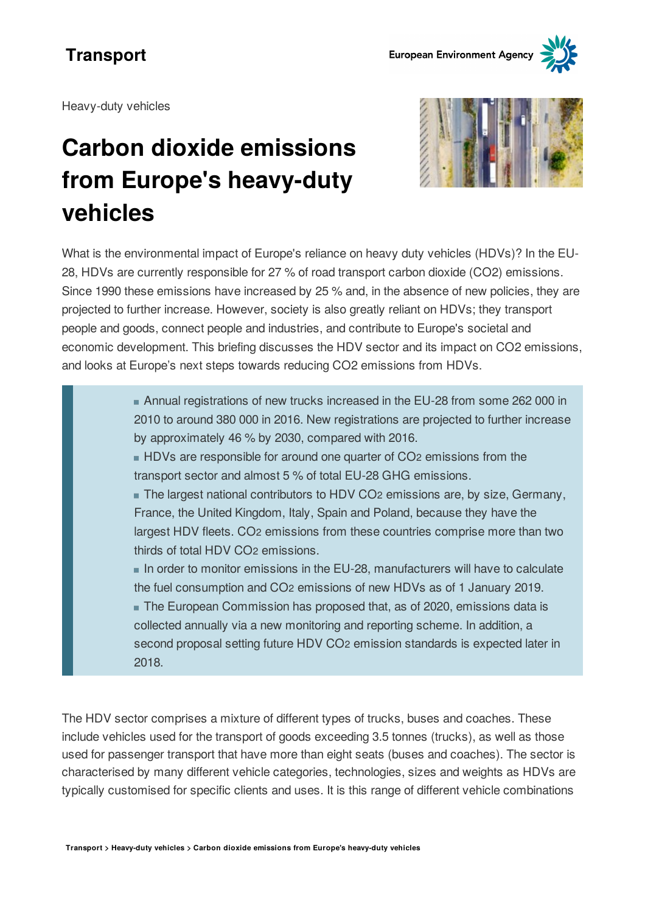Heavy-duty vehicles

# **Carbon dioxide emissions from Europe's heavy-duty vehicles**



What is the environmental impact of Europe's reliance on heavy duty vehicles (HDVs)? In the EU-28, HDVs are currently responsible for 27 % of road transport carbon dioxide (CO2) emissions. Since 1990 these emissions have increased by 25 % and, in the absence of new policies, they are projected to further increase. However, society is also greatly reliant on HDVs; they transport people and goods, connect people and industries, and contribute to Europe's societal and economic development. This briefing discusses the HDV sector and its impact on CO2 emissions, and looks at Europe's next steps towards reducing CO2 emissions from HDVs.

> Annual registrations of new trucks increased in the EU-28 from some 262 000 in 2010 to around 380 000 in 2016. New registrations are projected to further increase by approximately 46 % by 2030, compared with 2016.

HDVs are responsible for around one quarter of CO2 emissions from the transport sector and almost 5 % of total EU-28 GHG emissions.

The largest national contributors to HDV CO2 emissions are, by size, Germany, France, the United Kingdom, Italy, Spain and Poland, because they have the largest HDV fleets. CO2 emissions from these countries comprise more than two thirds of total HDV CO2 emissions.

In order to monitor emissions in the EU-28, manufacturers will have to calculate the fuel consumption and CO2 emissions of new HDVs as of 1 January 2019. The European Commission has proposed that, as of 2020, emissions data is collected annually via a new monitoring and reporting scheme. In addition, a second proposal setting future HDV CO2 emission standards is expected later in 2018.

The HDV sector comprises a mixture of different types of trucks, buses and coaches. These include vehicles used for the transport of goods exceeding 3.5 tonnes (trucks), as well as those used for passenger transport that have more than eight seats (buses and coaches). The sector is characterised by many different vehicle categories, technologies, sizes and weights as HDVs are typically customised for specific clients and uses. It is this range of different vehicle combinations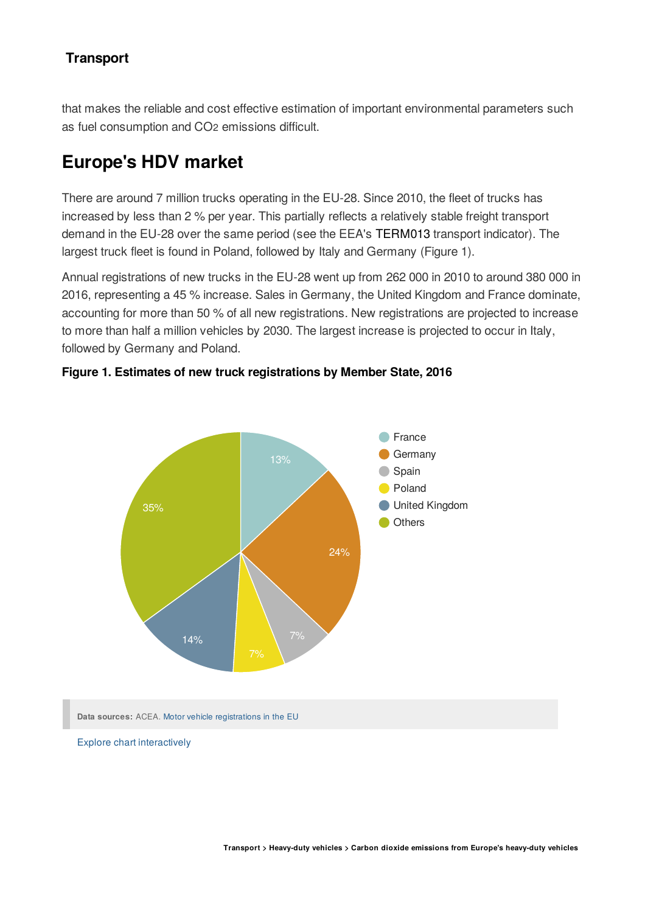that makes the reliable and cost effective estimation of important environmental parameters such as fuel consumption and CO<sub>2</sub> emissions difficult.

# **Europe's HDV market**

There are around 7 million trucks operating in the EU-28. Since 2010, the fleet of trucks has increased by less than 2 % per year. This partially reflects a relatively stable freight transport demand in the EU-28 over the same period (see the EEA's [TERM013](https://www.eea.europa.eu/data-and-maps/indicators/freight-transport-demand-version-2/assessment-7) transport indicator). The largest truck fleet is found in Poland, followed by Italy and Germany (Figure 1).

Annual registrations of new trucks in the EU-28 went up from 262 000 in 2010 to around 380 000 in 2016, representing a 45 % increase. Sales in Germany, the United Kingdom and France dominate, accounting for more than 50 % of all new registrations. New registrations are projected to increase to more than half a million vehicles by 2030. The largest increase is projected to occur in Italy, followed by Germany and Poland.





**Data sources:** ACEA. Motor vehicle registrations in the EU

Explore chart interactively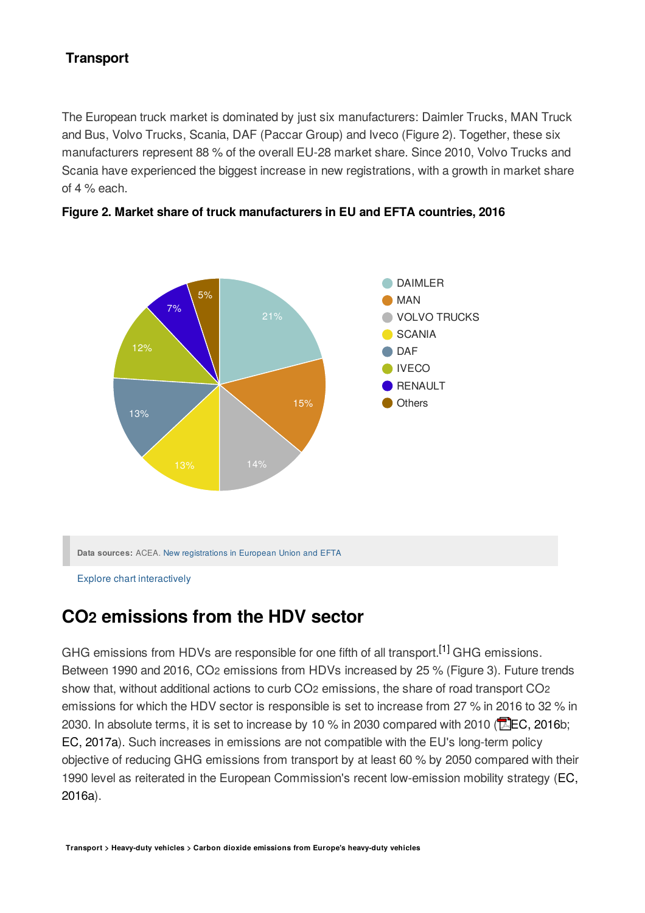The European truck market is dominated by just six manufacturers: Daimler Trucks, MAN Truck and Bus, Volvo Trucks, Scania, DAF (Paccar Group) and Iveco (Figure 2). Together, these six manufacturers represent 88 % of the overall EU-28 market share. Since 2010, Volvo Trucks and Scania have experienced the biggest increase in new registrations, with a growth in market share of 4 % each.



**Figure 2. Market share of truck manufacturers in EU and EFTA countries, 2016**

Explore chart interactively

# **CO emissions from the HDV sector 2**

GHG emissions from HDVs are responsible for one fifth of all transport.<sup>[1]</sup> GHG emissions. Between 1990 and 2016, CO2 emissions from HDVs increased by 25 % (Figure 3). Future trends show that, without additional actions to curb CO<sub>2</sub> emissions, the share of road transport CO<sub>2</sub> emissions for which the HDV sector is responsible is set to increase from 27 % in 2016 to 32 % in 2030. In absolute terms, it is set to increase by 10 % in 2030 compared with 2010 ( $\Box$ EC, [2016b](https://ec.europa.eu/energy/sites/ener/files/documents/ref2016_report_final-web.pdf); EC, [2017a\)](https://ec.europa.eu/info/law/better-regulation/initiative/28953/attachment/090166e5b2b05be6_en). Such increases in emissions are not compatible with the EU's long-term policy objective of reducing GHG emissions from transport by at least 60 % by 2050 compared with their 1990 level as reiterated in the European [Commission's](http://eur-lex.europa.eu/legal-content/en/TXT/?uri=CELEX%3A52016DC0501) recent low-emission mobility strategy (EC, 2016a).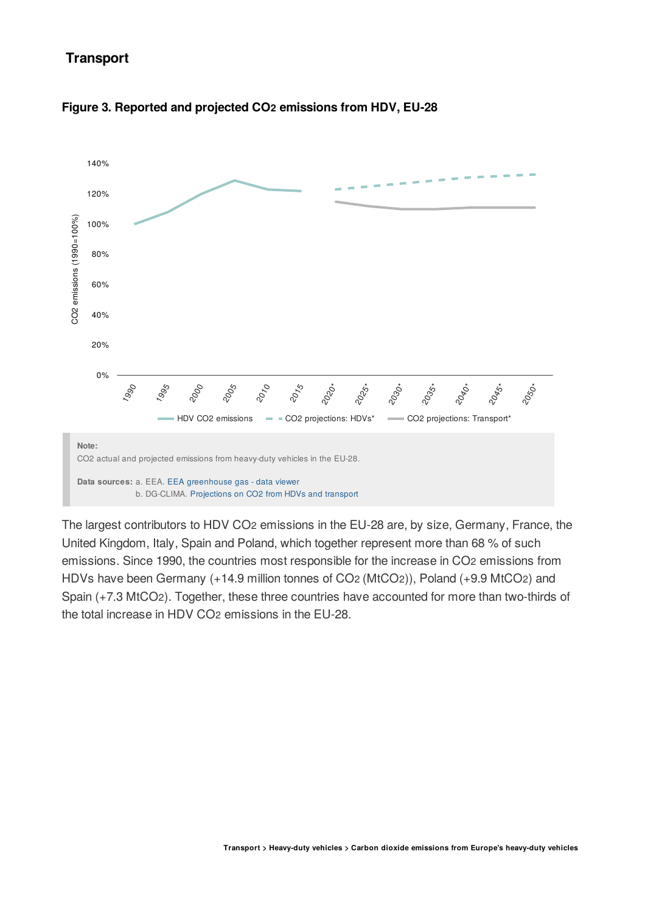



The largest contributors to HDV CO2 emissions in the EU-28 are, by size, Germany, France, the United Kingdom, Italy, Spain and Poland, which together represent more than 68 % of such emissions. Since 1990, the countries most responsible for the increase in CO2 emissions from HDVs have been Germany (+14.9 million tonnes of CO2 (MtCO2)), Poland (+9.9 MtCO2) and Spain (+7.3 MtCO2). Together, these three countries have accounted for more than two-thirds of the total increase in HDV CO2 emissions in the EU-28.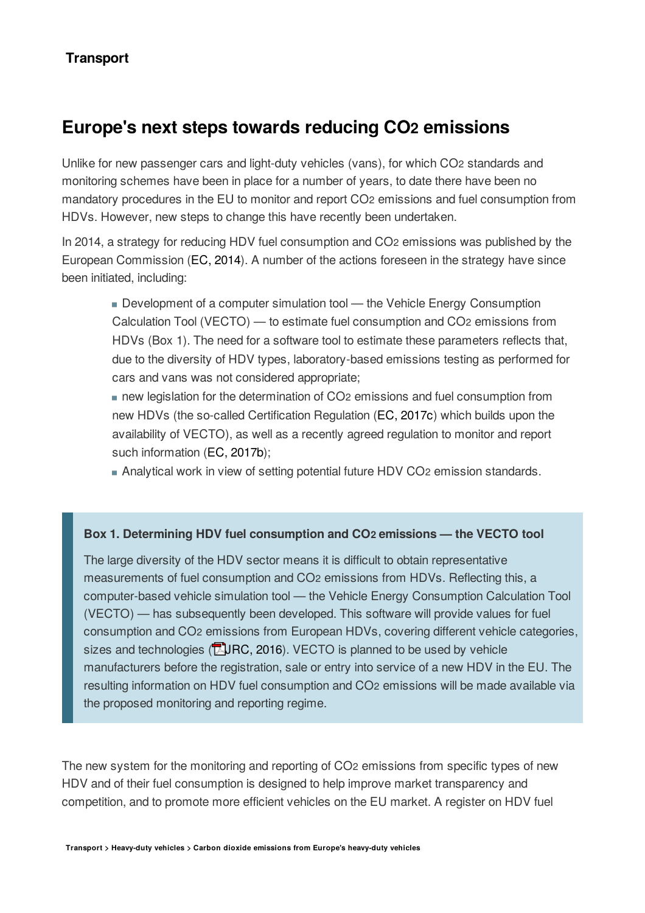# **Europe's next steps towards reducing CO emissions 2**

Unlike for new passenger cars and light-duty vehicles (vans), for which CO2 standards and monitoring schemes have been in place for a number of years, to date there have been no mandatory procedures in the EU to monitor and report CO<sub>2</sub> emissions and fuel consumption from HDVs. However, new steps to change this have recently been undertaken.

In 2014, a strategy for reducing HDV fuel consumption and CO<sub>2</sub> emissions was published by the European Commission (EC, [2014](http://eur-lex.europa.eu/legal-content/EN/TXT/PDF/?uri=CELEX:52014DC0285&from=EN)). A number of the actions foreseen in the strategy have since been initiated, including:

Development of a computer simulation tool — the Vehicle Energy Consumption Calculation Tool (VECTO) — to estimate fuel consumption and CO<sub>2</sub> emissions from HDVs (Box 1). The need for a software tool to estimate these parameters reflects that, due to the diversity of HDV types, laboratory-based emissions testing as performed for cars and vans was not considered appropriate;

new legislation for the determination of CO<sub>2</sub> emissions and fuel consumption from new HDVs (the so-called Certification Regulation (EC, [2017c\)](http://eur-lex.europa.eu/eli/reg/2017/2400/oj) which builds upon the availability of VECTO), as well as a recently agreed regulation to monitor and report such information (EC, [2017b](http://eur-lex.europa.eu/legal-content/EN/TXT/?uri=CELEX:52017PC0279));

Analytical work in view of setting potential future HDV CO2 emission standards.

#### **Box 1. Determining HDV fuel consumption and CO emissions the VECTO tool 2**

The large diversity of the HDV sector means it is difficult to obtain representative measurements of fuel consumption and CO2 emissions from HDVs. Reflecting this, a computer-based vehicle simulation tool - the Vehicle Energy Consumption Calculation Tool (VECTO) — has subsequently been developed. This software will provide values for fuel consumption and CO2 emissions from European HDVs, covering different vehicle categories, sizes and technologies ( $\sqrt{R}$ , [JRC,](http://publications.jrc.ec.europa.eu/repository/bitstream/JRC103864/report on vecto technology simulation capabilities and future outlook.pdf) 2016). VECTO is planned to be used by vehicle manufacturers before the registration, sale or entry into service of a new HDV in the EU. The resulting information on HDV fuel consumption and CO2 emissions will be made available via the proposed monitoring and reporting regime.

The new system for the monitoring and reporting of CO<sub>2</sub> emissions from specific types of new HDV and of their fuel consumption is designed to help improve market transparency and competition, and to promote more efficient vehicles on the EU market. A register on HDV fuel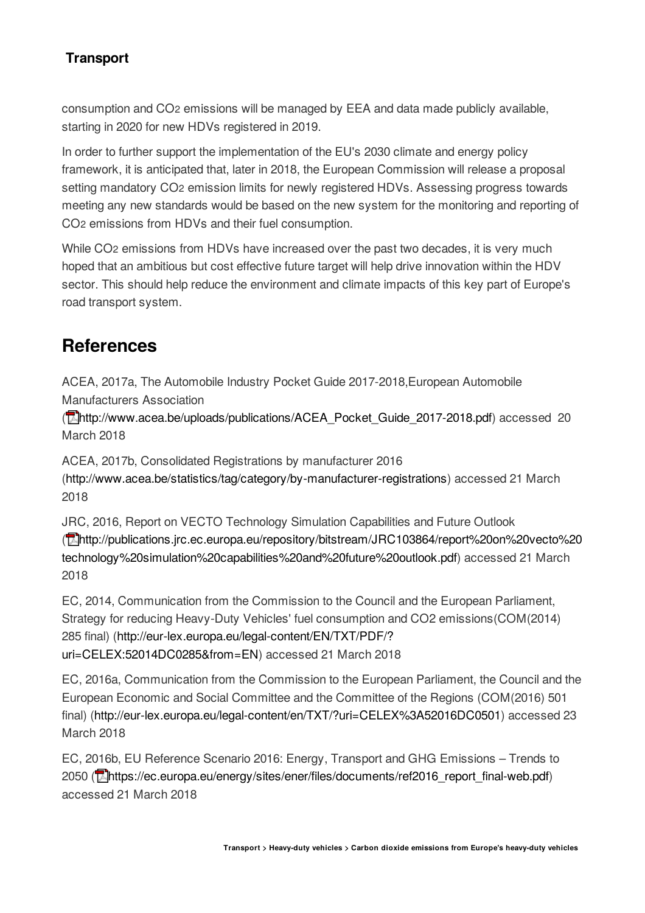consumption and CO2 emissions will be managed by EEA and data made publicly available, starting in 2020 for new HDVs registered in 2019.

In order to further support the implementation of the EU's 2030 climate and energy policy framework, it is anticipated that, later in 2018, the European Commission will release a proposal setting mandatory CO2 emission limits for newly registered HDVs. Assessing progress towards meeting any new standards would be based on the new system for the monitoring and reporting of CO<sub>2</sub> emissions from HDVs and their fuel consumption.

While CO2 emissions from HDVs have increased over the past two decades, it is very much hoped that an ambitious but cost effective future target will help drive innovation within the HDV sector. This should help reduce the environment and climate impacts of this key part of Europe's road transport system.

## **References**

ACEA, 2017a, The Automobile Industry Pocket Guide 2017-2018,European Automobile Manufacturers Association

(**P[http://www.acea.be/uploads/publications/ACEA\\_Pocket\\_Guide\\_2017-2018.pdf\)](http://www.acea.be/uploads/publications/ACEA_Pocket_Guide_2017-2018.pdf)** accessed 20 March 2018

ACEA, 2017b, Consolidated Registrations by manufacturer 2016

(<http://www.acea.be/statistics/tag/category/by-manufacturer-registrations>) accessed 21 March 2018

JRC, 2016, Report on VECTO Technology Simulation Capabilities and Future Outlook ( [http://publications.jrc.ec.europa.eu/repository/bitstream/JRC103864/report%20on%20vecto%20](http://publications.jrc.ec.europa.eu/repository/bitstream/JRC103864/report on vecto technology simulation capabilities and future outlook.pdf) technology%20simulation%20capabilities%20and%20future%20outlook.pdf) accessed 21 March 2018

EC, 2014, Communication from the Commission to the Council and the European Parliament, Strategy for reducing Heavy-Duty Vehicles' fuel consumption and CO2 emissions(COM(2014) 285 final) [\(http://eur-lex.europa.eu/legal-content/EN/TXT/PDF/?](http://eur-lex.europa.eu/legal-content/EN/TXT/PDF/?uri=CELEX:52014DC0285&from=EN) uri=CELEX:52014DC0285&from=EN) accessed 21 March 2018

EC, 2016a, Communication from the Commission to the European Parliament, the Council and the European Economic and Social Committee and the Committee of the Regions (COM(2016) 501 final) (<http://eur-lex.europa.eu/legal-content/en/TXT/?uri=CELEX%3A52016DC0501>) accessed 23 March 2018

EC, 2016b, EU Reference Scenario 2016: Energy, Transport and GHG Emissions - Trends to 2050 (**Mattles://ec.europa.eu/energy/sites/ener/files/documents/ref2016** report final-web.pdf) accessed 21 March 2018